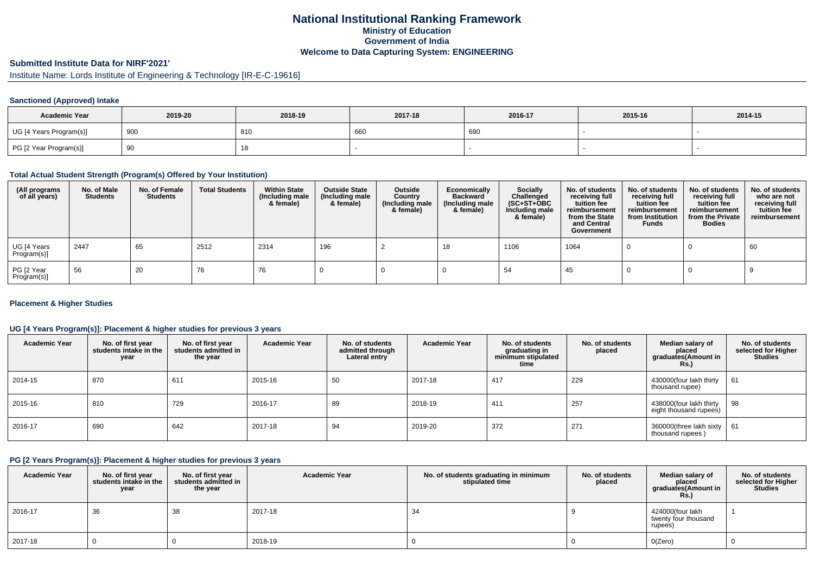## **National Institutional Ranking FrameworkMinistry of Education Government of IndiaWelcome to Data Capturing System: ENGINEERING**

# **Submitted Institute Data for NIRF'2021'**

Institute Name: Lords Institute of Engineering & Technology [IR-E-C-19616]

## **Sanctioned (Approved) Intake**

| <b>Academic Year</b>    | 2019-20 | 2018-19   | 2017-18 | 2016-17 | 2015-16 | 2014-15 |
|-------------------------|---------|-----------|---------|---------|---------|---------|
| UG [4 Years Program(s)] | 900     | 810       | 660     | 690     |         |         |
| PG [2 Year Program(s)]  | ູບ      | 4 C<br>18 |         |         |         |         |

#### **Total Actual Student Strength (Program(s) Offered by Your Institution)**

| (All programs<br>of all years) | No. of Male<br><b>Students</b> | No. of Female<br><b>Students</b> | <b>Total Students</b> | <b>Within State</b><br>(Including male<br>& female) | <b>Outside State</b><br>(Including male<br>& female) | Outside<br>Country<br>(Including male<br>& female) | Economically<br><b>Backward</b><br>(Including male<br>& female) | Socially<br>Challenged<br>$(SC+ST+OBC)$<br>Including male<br>& female) | No. of students<br>receiving full<br>tuition fee<br>reimbursement<br>from the State<br>and Central<br>Government | No. of students<br>receiving full<br>tuition fee<br>reimbursement<br>from Institution<br><b>Funds</b> | No. of students<br>receiving full<br>tuition fee<br>reimbursement<br>from the Private<br><b>Bodies</b> | No. of students<br>who are not<br>receiving full<br>tuition fee<br>reimbursement |
|--------------------------------|--------------------------------|----------------------------------|-----------------------|-----------------------------------------------------|------------------------------------------------------|----------------------------------------------------|-----------------------------------------------------------------|------------------------------------------------------------------------|------------------------------------------------------------------------------------------------------------------|-------------------------------------------------------------------------------------------------------|--------------------------------------------------------------------------------------------------------|----------------------------------------------------------------------------------|
| UG [4 Years<br>Program(s)]     | 2447                           | 65                               | 2512                  | 2314                                                | 196                                                  |                                                    | 18                                                              | 1106                                                                   | 1064                                                                                                             |                                                                                                       |                                                                                                        | 60                                                                               |
| PG [2 Year<br>Program(s)]      | 56                             | 20                               | 76                    | 76                                                  |                                                      |                                                    |                                                                 | 54                                                                     | -45                                                                                                              |                                                                                                       |                                                                                                        |                                                                                  |

### **Placement & Higher Studies**

## **UG [4 Years Program(s)]: Placement & higher studies for previous 3 years**

| <b>Academic Year</b> | No. of first year<br>students intake in the<br>year | No. of first year<br>students admitted in<br>the year | <b>Academic Year</b> | No. of students<br>admitted through<br>Lateral entry | <b>Academic Year</b> | No. of students<br>graduating in<br>minimum stipulated<br>time | No. of students<br>placed | Median salary of<br>placed<br>graduates(Amount in<br>Rs.) | No. of students<br>selected for Higher<br><b>Studies</b> |
|----------------------|-----------------------------------------------------|-------------------------------------------------------|----------------------|------------------------------------------------------|----------------------|----------------------------------------------------------------|---------------------------|-----------------------------------------------------------|----------------------------------------------------------|
| 2014-15              | 870                                                 | 611                                                   | 2015-16              | 50                                                   | 2017-18              | 417                                                            | 229                       | 430000(four lakh thirty<br>thousand rupee)                | 61                                                       |
| 2015-16              | 810                                                 | 729                                                   | 2016-17              | 89                                                   | 2018-19              | 411                                                            | 257                       | 438000(four lakh thirty<br>eight thousand rupees)         | 98                                                       |
| 2016-17              | 690                                                 | 642                                                   | 2017-18              | 94                                                   | 2019-20              | 372                                                            | 271                       | 360000(three lakh sixty<br>thousand rupees)               | 61                                                       |

#### **PG [2 Years Program(s)]: Placement & higher studies for previous 3 years**

| <b>Academic Year</b> | No. of first year<br>students intake in the<br>year | No. of first vear<br>students admitted in<br>the year | <b>Academic Year</b> | No. of students graduating in minimum<br>stipulated time | No. of students<br>placed | Median salary of<br>placed<br>graduates(Amount in<br><b>Rs.)</b> | No. of students<br>selected for Higher<br><b>Studies</b> |
|----------------------|-----------------------------------------------------|-------------------------------------------------------|----------------------|----------------------------------------------------------|---------------------------|------------------------------------------------------------------|----------------------------------------------------------|
| $ 2016-17$           | 36                                                  | 38                                                    | 2017-18              | 34                                                       |                           | 424000(four lakh<br>twenty four thousand<br>rupees)              |                                                          |
| 2017-18              |                                                     |                                                       | 2018-19              |                                                          |                           | O(Zero)                                                          |                                                          |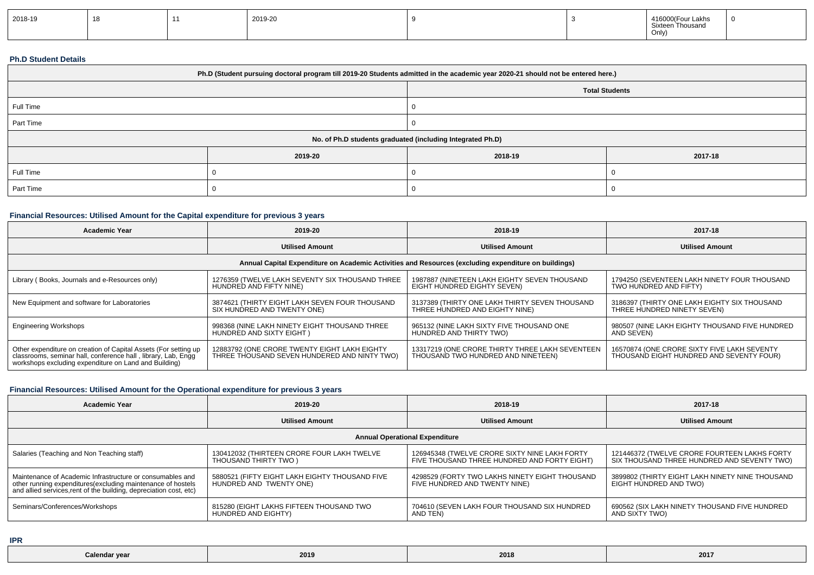| 2018-19 | $\sim$ |  | 2019-20 |  |  | $\overline{A}$<br>41 D.<br>Thousanr<br>Sixtee<br>Only, |  |
|---------|--------|--|---------|--|--|--------------------------------------------------------|--|
|---------|--------|--|---------|--|--|--------------------------------------------------------|--|

#### **Ph.D Student Details**

| Ph.D (Student pursuing doctoral program till 2019-20 Students admitted in the academic year 2020-21 should not be entered here.) |                                                            |         |         |  |  |  |
|----------------------------------------------------------------------------------------------------------------------------------|------------------------------------------------------------|---------|---------|--|--|--|
| <b>Total Students</b>                                                                                                            |                                                            |         |         |  |  |  |
| Full Time                                                                                                                        |                                                            |         |         |  |  |  |
| Part Time                                                                                                                        |                                                            |         |         |  |  |  |
|                                                                                                                                  | No. of Ph.D students graduated (including Integrated Ph.D) |         |         |  |  |  |
|                                                                                                                                  | 2019-20                                                    | 2018-19 | 2017-18 |  |  |  |
| Full Time                                                                                                                        |                                                            |         |         |  |  |  |
| Part Time                                                                                                                        |                                                            |         |         |  |  |  |

## **Financial Resources: Utilised Amount for the Capital expenditure for previous 3 years**

| <b>Academic Year</b>                                                                                                                                                                      | 2019-20                                                                                      | 2018-19                                                                               | 2017-18                                                                                 |  |  |  |  |
|-------------------------------------------------------------------------------------------------------------------------------------------------------------------------------------------|----------------------------------------------------------------------------------------------|---------------------------------------------------------------------------------------|-----------------------------------------------------------------------------------------|--|--|--|--|
|                                                                                                                                                                                           | <b>Utilised Amount</b>                                                                       | <b>Utilised Amount</b>                                                                | <b>Utilised Amount</b>                                                                  |  |  |  |  |
| Annual Capital Expenditure on Academic Activities and Resources (excluding expenditure on buildings)                                                                                      |                                                                                              |                                                                                       |                                                                                         |  |  |  |  |
| Library (Books, Journals and e-Resources only)                                                                                                                                            | 1276359 (TWELVE LAKH SEVENTY SIX THOUSAND THREE<br>HUNDRED AND FIFTY NINE)                   | 1987887 (NINETEEN LAKH EIGHTY SEVEN THOUSAND<br>EIGHT HUNDRED EIGHTY SEVEN)           | 1794250 (SEVENTEEN LAKH NINETY FOUR THOUSAND<br>TWO HUNDRED AND FIFTY)                  |  |  |  |  |
| New Equipment and software for Laboratories                                                                                                                                               | 3874621 (THIRTY EIGHT LAKH SEVEN FOUR THOUSAND<br>SIX HUNDRED AND TWENTY ONE)                | 3137389 (THIRTY ONE LAKH THIRTY SEVEN THOUSAND<br>THREE HUNDRED AND EIGHTY NINE)      | 3186397 (THIRTY ONE LAKH EIGHTY SIX THOUSAND<br>THREE HUNDRED NINETY SEVEN)             |  |  |  |  |
| <b>Engineering Workshops</b>                                                                                                                                                              | 998368 (NINE LAKH NINETY EIGHT THOUSAND THREE<br>HUNDRED AND SIXTY EIGHT)                    | 965132 (NINE LAKH SIXTY FIVE THOUSAND ONE<br>HUNDRED AND THIRTY TWO)                  | 980507 (NINE LAKH EIGHTY THOUSAND FIVE HUNDRED<br>AND SEVEN)                            |  |  |  |  |
| Other expenditure on creation of Capital Assets (For setting up<br>classrooms, seminar hall, conference hall, library, Lab, Engg<br>workshops excluding expenditure on Land and Building) | 12883792 (ONE CRORE TWENTY EIGHT LAKH EIGHTY<br>THREE THOUSAND SEVEN HUNDERED AND NINTY TWO) | 13317219 (ONE CRORE THIRTY THREE LAKH SEVENTEEN<br>THOUSAND TWO HUNDRED AND NINETEEN) | 16570874 (ONE CRORE SIXTY FIVE LAKH SEVENTY<br>THOUSAND EIGHT HUNDRED AND SEVENTY FOUR) |  |  |  |  |

## **Financial Resources: Utilised Amount for the Operational expenditure for previous 3 years**

| <b>Academic Year</b>                                                                                                               | 2019-20                                        | 2018-19                                        | 2017-18                                         |  |  |  |  |  |
|------------------------------------------------------------------------------------------------------------------------------------|------------------------------------------------|------------------------------------------------|-------------------------------------------------|--|--|--|--|--|
|                                                                                                                                    | <b>Utilised Amount</b>                         | <b>Utilised Amount</b>                         | <b>Utilised Amount</b>                          |  |  |  |  |  |
| <b>Annual Operational Expenditure</b>                                                                                              |                                                |                                                |                                                 |  |  |  |  |  |
| Salaries (Teaching and Non Teaching staff)                                                                                         | 130412032 (THIRTEEN CRORE FOUR LAKH TWELVE     | 126945348 (TWELVE CRORE SIXTY NINE LAKH FORTY  | 121446372 (TWELVE CRORE FOURTEEN LAKHS FORTY    |  |  |  |  |  |
|                                                                                                                                    | THOUSAND THIRTY TWO )                          | FIVE THOUSAND THREE HUNDRED AND FORTY EIGHT)   | SIX THOUSAND THREE HUNDRED AND SEVENTY TWO)     |  |  |  |  |  |
| Maintenance of Academic Infrastructure or consumables and                                                                          | 5880521 (FIFTY EIGHT LAKH EIGHTY THOUSAND FIVE | 4298529 (FORTY TWO LAKHS NINETY EIGHT THOUSAND | 3899802 (THIRTY EIGHT LAKH NINETY NINE THOUSAND |  |  |  |  |  |
| other running expenditures (excluding maintenance of hostels<br>and allied services, rent of the building, depreciation cost, etc) | HUNDRED AND TWENTY ONE)                        | FIVE HUNDRED AND TWENTY NINE)                  | EIGHT HUNDRED AND TWO)                          |  |  |  |  |  |
| Seminars/Conferences/Workshops                                                                                                     | 815280 (EIGHT LAKHS FIFTEEN THOUSAND TWO       | 704610 (SEVEN LAKH FOUR THOUSAND SIX HUNDRED   | 690562 (SIX LAKH NINETY THOUSAND FIVE HUNDRED   |  |  |  |  |  |
|                                                                                                                                    | HUNDRÈD AND EIGHTY)                            | AND TEN)                                       | AND SIXTY TWO)                                  |  |  |  |  |  |

**IPR**

| Color.<br>$\mathbf{u}$<br>⊍dl∖<br>- v cr | ---<br>201. | 2018 | 2017 |
|------------------------------------------|-------------|------|------|
|------------------------------------------|-------------|------|------|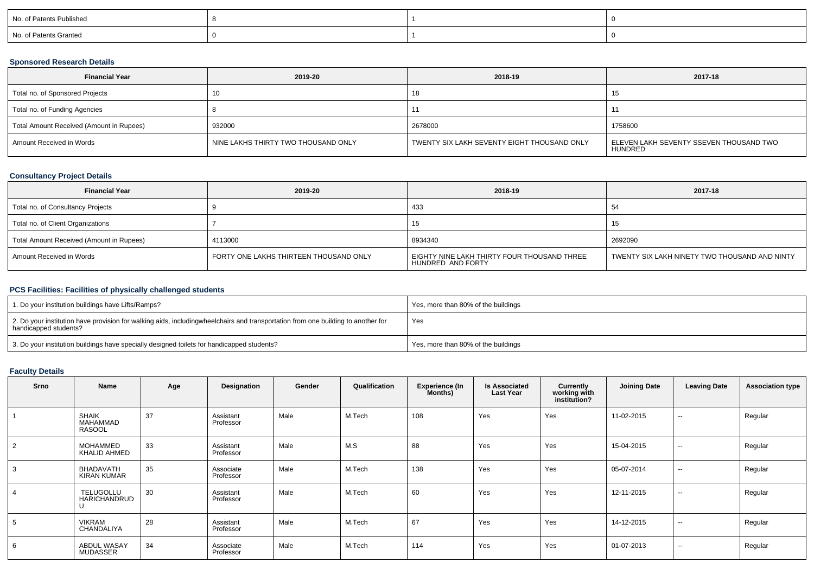| No. of Patents Published |  |  |
|--------------------------|--|--|
| No. of Patents Granted   |  |  |

## **Sponsored Research Details**

| <b>Financial Year</b>                    | 2019-20                             | 2018-19                                     | 2017-18                                            |
|------------------------------------------|-------------------------------------|---------------------------------------------|----------------------------------------------------|
| Total no. of Sponsored Projects          |                                     | 1 С                                         | ں ا                                                |
| Total no. of Funding Agencies            |                                     |                                             | 11                                                 |
| Total Amount Received (Amount in Rupees) | 932000                              | 2678000                                     | 1758600                                            |
| Amount Received in Words                 | NINE LAKHS THIRTY TWO THOUSAND ONLY | TWENTY SIX LAKH SEVENTY EIGHT THOUSAND ONLY | ELEVEN LAKH SEVENTY SSEVEN THOUSAND TWO<br>HUNDRED |

## **Consultancy Project Details**

| <b>Financial Year</b>                    | 2019-20                                | 2018-19                                                          | 2017-18                                       |
|------------------------------------------|----------------------------------------|------------------------------------------------------------------|-----------------------------------------------|
| Total no. of Consultancy Projects        |                                        | 433                                                              | 54                                            |
| Total no. of Client Organizations        |                                        | 15                                                               | 15                                            |
| Total Amount Received (Amount in Rupees) | 4113000                                | 8934340                                                          | 2692090                                       |
| Amount Received in Words                 | FORTY ONE LAKHS THIRTEEN THOUSAND ONLY | EIGHTY NINE LAKH THIRTY FOUR THOUSAND THREE<br>HUNDRED AND FORTY | TWENTY SIX LAKH NINETY TWO THOUSAND AND NINTY |

### **PCS Facilities: Facilities of physically challenged students**

| 1. Do your institution buildings have Lifts/Ramps?                                                                                                        | Yes, more than 80% of the buildings |
|-----------------------------------------------------------------------------------------------------------------------------------------------------------|-------------------------------------|
| 2. Do your institution have provision for walking aids, includingwheelchairs and transportation from one building to another for<br>handicapped students? | Yes                                 |
| 3. Do your institution buildings have specially designed toilets for handicapped students?                                                                | Yes, more than 80% of the buildings |

# **Faculty Details**

| <b>Srno</b> | Name                                      | Age | Designation            | Gender | Qualification | <b>Experience (In</b><br>Months) | <b>Is Associated</b><br><b>Last Year</b> | Currently<br>working with<br>institution? | <b>Joining Date</b> | <b>Leaving Date</b> | <b>Association type</b> |
|-------------|-------------------------------------------|-----|------------------------|--------|---------------|----------------------------------|------------------------------------------|-------------------------------------------|---------------------|---------------------|-------------------------|
|             | <b>SHAIK</b><br>MAHAMMAD<br><b>RASOOL</b> | 37  | Assistant<br>Professor | Male   | M.Tech        | 108                              | Yes                                      | Yes                                       | 11-02-2015          | $\sim$              | Regular                 |
| 2           | <b>MOHAMMED</b><br>KHALID AHMED           | 33  | Assistant<br>Professor | Male   | M.S           | 88                               | Yes                                      | Yes                                       | 15-04-2015          | $\sim$              | Regular                 |
| 3           | BHADAVATH<br><b>KIRAN KUMAR</b>           | 35  | Associate<br>Professor | Male   | M.Tech        | 138                              | Yes                                      | Yes                                       | 05-07-2014          | $\sim$              | Regular                 |
|             | TELUGOLLU<br>HARICHANDRUD                 | 30  | Assistant<br>Professor | Male   | M.Tech        | 60                               | Yes                                      | Yes                                       | 12-11-2015          | $\sim$              | Regular                 |
|             | <b>VIKRAM</b><br>CHANDALIYA               | 28  | Assistant<br>Professor | Male   | M.Tech        | 67                               | Yes                                      | Yes                                       | 14-12-2015          | $\sim$              | Regular                 |
| 6           | <b>ABDUL WASAY</b><br><b>MUDASSER</b>     | 34  | Associate<br>Professor | Male   | M.Tech        | 114                              | Yes                                      | Yes                                       | 01-07-2013          | $\sim$              | Regular                 |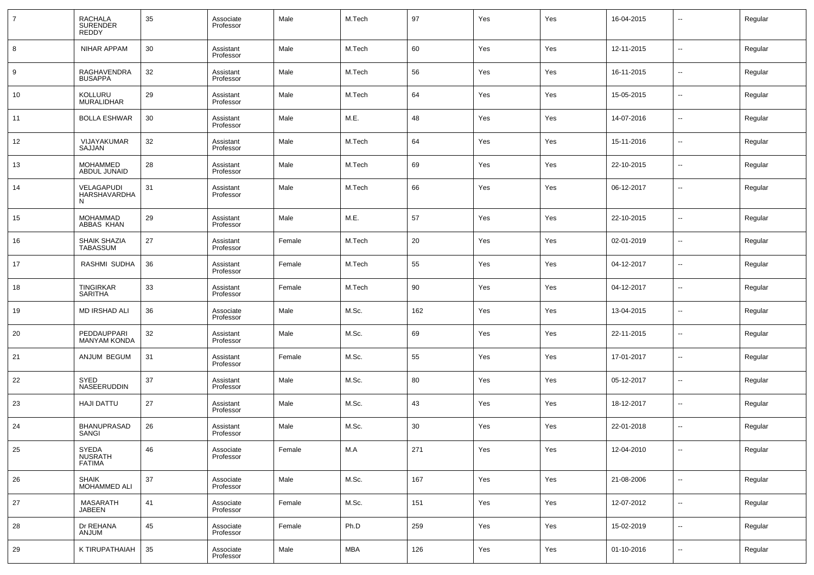| $\overline{7}$ | RACHALA<br>SURENDER<br><b>REDDY</b>      | 35 | Associate<br>Professor | Male   | M.Tech     | 97  | Yes | Yes | 16-04-2015 | --                       | Regular |
|----------------|------------------------------------------|----|------------------------|--------|------------|-----|-----|-----|------------|--------------------------|---------|
| 8              | <b>NIHAR APPAM</b>                       | 30 | Assistant<br>Professor | Male   | M.Tech     | 60  | Yes | Yes | 12-11-2015 | --                       | Regular |
| 9              | RAGHAVENDRA<br><b>BUSAPPA</b>            | 32 | Assistant<br>Professor | Male   | M.Tech     | 56  | Yes | Yes | 16-11-2015 | $\overline{\phantom{a}}$ | Regular |
| 10             | KOLLURU<br><b>MURALIDHAR</b>             | 29 | Assistant<br>Professor | Male   | M.Tech     | 64  | Yes | Yes | 15-05-2015 | --                       | Regular |
| 11             | <b>BOLLA ESHWAR</b>                      | 30 | Assistant<br>Professor | Male   | M.E.       | 48  | Yes | Yes | 14-07-2016 | ш,                       | Regular |
| 12             | VIJAYAKUMAR<br>SAJJAN                    | 32 | Assistant<br>Professor | Male   | M.Tech     | 64  | Yes | Yes | 15-11-2016 | --                       | Regular |
| 13             | <b>MOHAMMED</b><br>ABDUL JUNAID          | 28 | Assistant<br>Professor | Male   | M.Tech     | 69  | Yes | Yes | 22-10-2015 | ш,                       | Regular |
| 14             | VELAGAPUDI<br>HARSHAVARDHA<br>N          | 31 | Assistant<br>Professor | Male   | M.Tech     | 66  | Yes | Yes | 06-12-2017 | --                       | Regular |
| 15             | MOHAMMAD<br>ABBAS KHAN                   | 29 | Assistant<br>Professor | Male   | M.E.       | 57  | Yes | Yes | 22-10-2015 | --                       | Regular |
| 16             | SHAIK SHAZIA<br><b>TABASSUM</b>          | 27 | Assistant<br>Professor | Female | M.Tech     | 20  | Yes | Yes | 02-01-2019 | --                       | Regular |
| 17             | RASHMI SUDHA                             | 36 | Assistant<br>Professor | Female | M.Tech     | 55  | Yes | Yes | 04-12-2017 | --                       | Regular |
| 18             | TINGIRKAR<br><b>SARITHA</b>              | 33 | Assistant<br>Professor | Female | M.Tech     | 90  | Yes | Yes | 04-12-2017 | --                       | Regular |
| 19             | MD IRSHAD ALI                            | 36 | Associate<br>Professor | Male   | M.Sc.      | 162 | Yes | Yes | 13-04-2015 | --                       | Regular |
| 20             | PEDDAUPPARI<br><b>MANYAM KONDA</b>       | 32 | Assistant<br>Professor | Male   | M.Sc.      | 69  | Yes | Yes | 22-11-2015 | --                       | Regular |
| 21             | ANJUM BEGUM                              | 31 | Assistant<br>Professor | Female | M.Sc.      | 55  | Yes | Yes | 17-01-2017 | --                       | Regular |
| 22             | SYED<br>NASEERUDDIN                      | 37 | Assistant<br>Professor | Male   | M.Sc.      | 80  | Yes | Yes | 05-12-2017 | --                       | Regular |
| 23             | HAJI DATTU                               | 27 | Assistant<br>Professor | Male   | M.Sc.      | 43  | Yes | Yes | 18-12-2017 | --                       | Regular |
| 24             | <b>BHANUPRASAD</b><br>SANGI              | 26 | Assistant<br>Professor | Male   | M.Sc.      | 30  | Yes | Yes | 22-01-2018 | --                       | Regular |
| 25             | SYEDA<br><b>NUSRATH</b><br><b>FATIMA</b> | 46 | Associate<br>Professor | Female | M.A        | 271 | Yes | Yes | 12-04-2010 | --                       | Regular |
| 26             | <b>SHAIK</b><br>MOHAMMED ALI             | 37 | Associate<br>Professor | Male   | M.Sc.      | 167 | Yes | Yes | 21-08-2006 | $\sim$                   | Regular |
| 27             | MASARATH<br><b>JABEEN</b>                | 41 | Associate<br>Professor | Female | M.Sc.      | 151 | Yes | Yes | 12-07-2012 | н.                       | Regular |
| 28             | Dr REHANA<br><b>ANJUM</b>                | 45 | Associate<br>Professor | Female | Ph.D       | 259 | Yes | Yes | 15-02-2019 | $\sim$                   | Regular |
| 29             | K TIRUPATHAIAH                           | 35 | Associate<br>Professor | Male   | <b>MBA</b> | 126 | Yes | Yes | 01-10-2016 | --                       | Regular |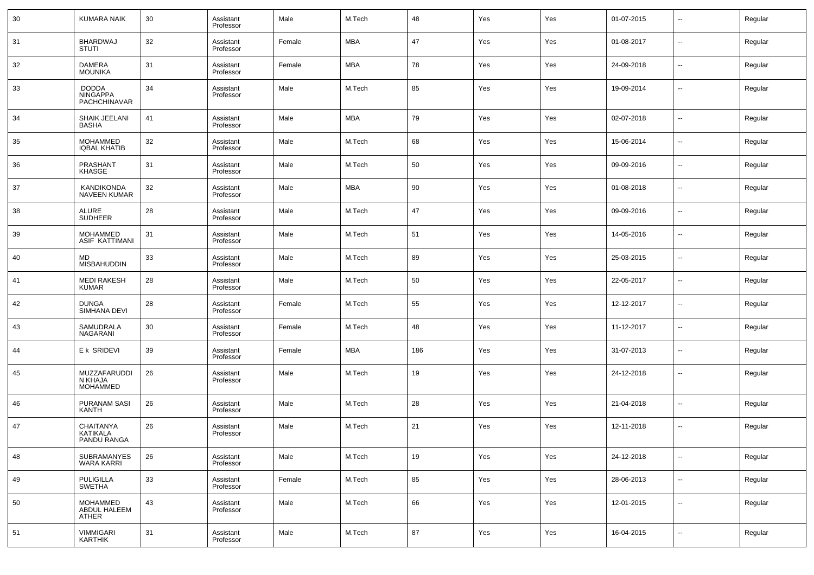| 30 | <b>KUMARA NAIK</b>                              | 30 | Assistant<br>Professor | Male   | M.Tech     | 48  | Yes | Yes | 01-07-2015 | $\sim$         | Regular |
|----|-------------------------------------------------|----|------------------------|--------|------------|-----|-----|-----|------------|----------------|---------|
| 31 | <b>BHARDWAJ</b><br><b>STUTI</b>                 | 32 | Assistant<br>Professor | Female | <b>MBA</b> | 47  | Yes | Yes | 01-08-2017 | ⊷.             | Regular |
| 32 | <b>DAMERA</b><br><b>MOUNIKA</b>                 | 31 | Assistant<br>Professor | Female | <b>MBA</b> | 78  | Yes | Yes | 24-09-2018 | ⊷.             | Regular |
| 33 | <b>DODDA</b><br><b>NINGAPPA</b><br>PACHCHINAVAR | 34 | Assistant<br>Professor | Male   | M.Tech     | 85  | Yes | Yes | 19-09-2014 | --             | Regular |
| 34 | SHAIK JEELANI<br><b>BASHA</b>                   | 41 | Assistant<br>Professor | Male   | <b>MBA</b> | 79  | Yes | Yes | 02-07-2018 | --             | Regular |
| 35 | <b>MOHAMMED</b><br><b>IQBAL KHATIB</b>          | 32 | Assistant<br>Professor | Male   | M.Tech     | 68  | Yes | Yes | 15-06-2014 | --             | Regular |
| 36 | PRASHANT<br>KHASGE                              | 31 | Assistant<br>Professor | Male   | M.Tech     | 50  | Yes | Yes | 09-09-2016 | --             | Regular |
| 37 | KANDIKONDA<br><b>NAVEEN KUMAR</b>               | 32 | Assistant<br>Professor | Male   | <b>MBA</b> | 90  | Yes | Yes | 01-08-2018 | --             | Regular |
| 38 | ALURE<br><b>SUDHEER</b>                         | 28 | Assistant<br>Professor | Male   | M.Tech     | 47  | Yes | Yes | 09-09-2016 | --             | Regular |
| 39 | <b>MOHAMMED</b><br>ASIF KATTIMANI               | 31 | Assistant<br>Professor | Male   | M.Tech     | 51  | Yes | Yes | 14-05-2016 | --             | Regular |
| 40 | <b>MD</b><br><b>MISBAHUDDIN</b>                 | 33 | Assistant<br>Professor | Male   | M.Tech     | 89  | Yes | Yes | 25-03-2015 | --             | Regular |
| 41 | <b>MEDI RAKESH</b><br><b>KUMAR</b>              | 28 | Assistant<br>Professor | Male   | M.Tech     | 50  | Yes | Yes | 22-05-2017 | --             | Regular |
| 42 | <b>DUNGA</b><br>SIMHANA DEVI                    | 28 | Assistant<br>Professor | Female | M.Tech     | 55  | Yes | Yes | 12-12-2017 | $\overline{a}$ | Regular |
| 43 | SAMUDRALA<br>NAGARANI                           | 30 | Assistant<br>Professor | Female | M.Tech     | 48  | Yes | Yes | 11-12-2017 | --             | Regular |
| 44 | E k SRIDEVI                                     | 39 | Assistant<br>Professor | Female | <b>MBA</b> | 186 | Yes | Yes | 31-07-2013 | --             | Regular |
| 45 | MUZZAFARUDDI<br>N KHAJA<br><b>MOHAMMED</b>      | 26 | Assistant<br>Professor | Male   | M.Tech     | 19  | Yes | Yes | 24-12-2018 | --             | Regular |
| 46 | PURANAM SASI<br>KANTH                           | 26 | Assistant<br>Professor | Male   | M.Tech     | 28  | Yes | Yes | 21-04-2018 | --             | Regular |
| 47 | <b>CHAITANYA</b><br>KATIKALA<br>PANDU RANGA     | 26 | Assistant<br>Professor | Male   | M.Tech     | 21  | Yes | Yes | 12-11-2018 |                | Regular |
| 48 | <b>SUBRAMANYES</b><br><b>WARA KARRI</b>         | 26 | Assistant<br>Professor | Male   | M.Tech     | 19  | Yes | Yes | 24-12-2018 | --             | Regular |
| 49 | PULIGILLA<br>SWETHA                             | 33 | Assistant<br>Professor | Female | M.Tech     | 85  | Yes | Yes | 28-06-2013 | ⊷.             | Regular |
| 50 | <b>MOHAMMED</b><br>ABDUL HALEEM<br><b>ATHER</b> | 43 | Assistant<br>Professor | Male   | M.Tech     | 66  | Yes | Yes | 12-01-2015 | ⊷.             | Regular |
| 51 | VIMMIGARI<br>KARTHIK                            | 31 | Assistant<br>Professor | Male   | M.Tech     | 87  | Yes | Yes | 16-04-2015 | $\sim$         | Regular |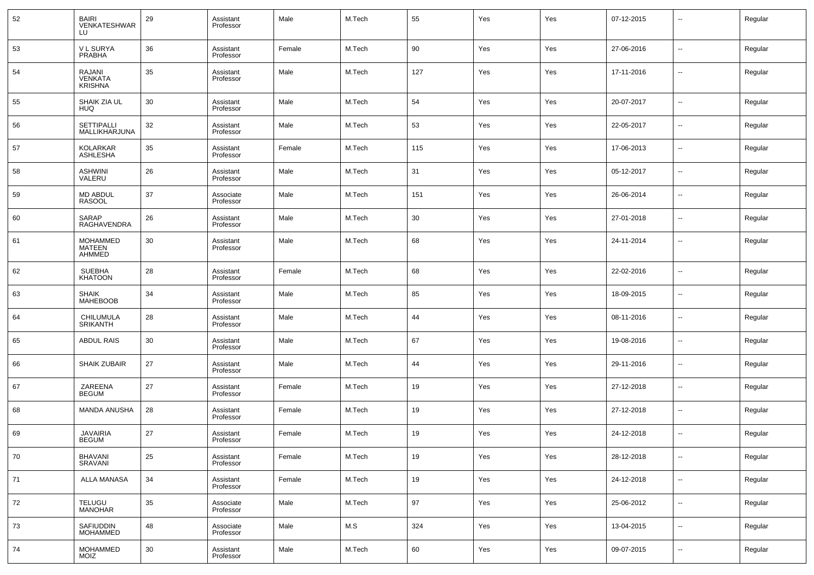| 52 | <b>BAIRI</b><br>VENKATESHWAR<br>LU                | 29 | Assistant<br>Professor | Male   | M.Tech | 55  | Yes | Yes | 07-12-2015 | --     | Regular |
|----|---------------------------------------------------|----|------------------------|--------|--------|-----|-----|-----|------------|--------|---------|
| 53 | <b>VL SURYA</b><br><b>PRABHA</b>                  | 36 | Assistant<br>Professor | Female | M.Tech | 90  | Yes | Yes | 27-06-2016 | ш,     | Regular |
| 54 | <b>RAJANI</b><br><b>VENKATA</b><br><b>KRISHNA</b> | 35 | Assistant<br>Professor | Male   | M.Tech | 127 | Yes | Yes | 17-11-2016 | --     | Regular |
| 55 | SHAIK ZIA UL<br><b>HUQ</b>                        | 30 | Assistant<br>Professor | Male   | M.Tech | 54  | Yes | Yes | 20-07-2017 | --     | Regular |
| 56 | <b>SETTIPALLI</b><br>MALLIKHARJUNA                | 32 | Assistant<br>Professor | Male   | M.Tech | 53  | Yes | Yes | 22-05-2017 | --     | Regular |
| 57 | <b>KOLARKAR</b><br>ASHLESHA                       | 35 | Assistant<br>Professor | Female | M.Tech | 115 | Yes | Yes | 17-06-2013 | --     | Regular |
| 58 | <b>ASHWINI</b><br>VALERU                          | 26 | Assistant<br>Professor | Male   | M.Tech | 31  | Yes | Yes | 05-12-2017 | --     | Regular |
| 59 | <b>MD ABDUL</b><br><b>RASOOL</b>                  | 37 | Associate<br>Professor | Male   | M.Tech | 151 | Yes | Yes | 26-06-2014 | --     | Regular |
| 60 | SARAP<br><b>RAGHAVENDRA</b>                       | 26 | Assistant<br>Professor | Male   | M.Tech | 30  | Yes | Yes | 27-01-2018 | --     | Regular |
| 61 | <b>MOHAMMED</b><br><b>MATEEN</b><br>AHMMED        | 30 | Assistant<br>Professor | Male   | M.Tech | 68  | Yes | Yes | 24-11-2014 | ۰.     | Regular |
| 62 | <b>SUEBHA</b><br><b>KHATOON</b>                   | 28 | Assistant<br>Professor | Female | M.Tech | 68  | Yes | Yes | 22-02-2016 | --     | Regular |
| 63 | SHAIK<br><b>MAHEBOOB</b>                          | 34 | Assistant<br>Professor | Male   | M.Tech | 85  | Yes | Yes | 18-09-2015 | --     | Regular |
| 64 | CHILUMULA<br><b>SRIKANTH</b>                      | 28 | Assistant<br>Professor | Male   | M.Tech | 44  | Yes | Yes | 08-11-2016 | --     | Regular |
| 65 | <b>ABDUL RAIS</b>                                 | 30 | Assistant<br>Professor | Male   | M.Tech | 67  | Yes | Yes | 19-08-2016 | --     | Regular |
| 66 | <b>SHAIK ZUBAIR</b>                               | 27 | Assistant<br>Professor | Male   | M.Tech | 44  | Yes | Yes | 29-11-2016 | --     | Regular |
| 67 | ZAREENA<br><b>BEGUM</b>                           | 27 | Assistant<br>Professor | Female | M.Tech | 19  | Yes | Yes | 27-12-2018 | --     | Regular |
| 68 | <b>MANDA ANUSHA</b>                               | 28 | Assistant<br>Professor | Female | M.Tech | 19  | Yes | Yes | 27-12-2018 | --     | Regular |
| 69 | <b>JAVAIRIA</b><br><b>BEGUM</b>                   | 27 | Assistant<br>Professor | Female | M.Tech | 19  | Yes | Yes | 24-12-2018 | ۰.     | Regular |
| 70 | <b>BHAVANI</b><br>SRAVANI                         | 25 | Assistant<br>Professor | Female | M.Tech | 19  | Yes | Yes | 28-12-2018 | --     | Regular |
| 71 | <b>ALLA MANASA</b>                                | 34 | Assistant<br>Professor | Female | M.Tech | 19  | Yes | Yes | 24-12-2018 | $\sim$ | Regular |
| 72 | <b>TELUGU</b><br><b>MANOHAR</b>                   | 35 | Associate<br>Professor | Male   | M.Tech | 97  | Yes | Yes | 25-06-2012 | $\sim$ | Regular |
| 73 | SAFIUDDIN<br><b>MOHAMMED</b>                      | 48 | Associate<br>Professor | Male   | M.S    | 324 | Yes | Yes | 13-04-2015 | $\sim$ | Regular |
| 74 | <b>MOHAMMED</b><br><b>MOIZ</b>                    | 30 | Assistant<br>Professor | Male   | M.Tech | 60  | Yes | Yes | 09-07-2015 | $\sim$ | Regular |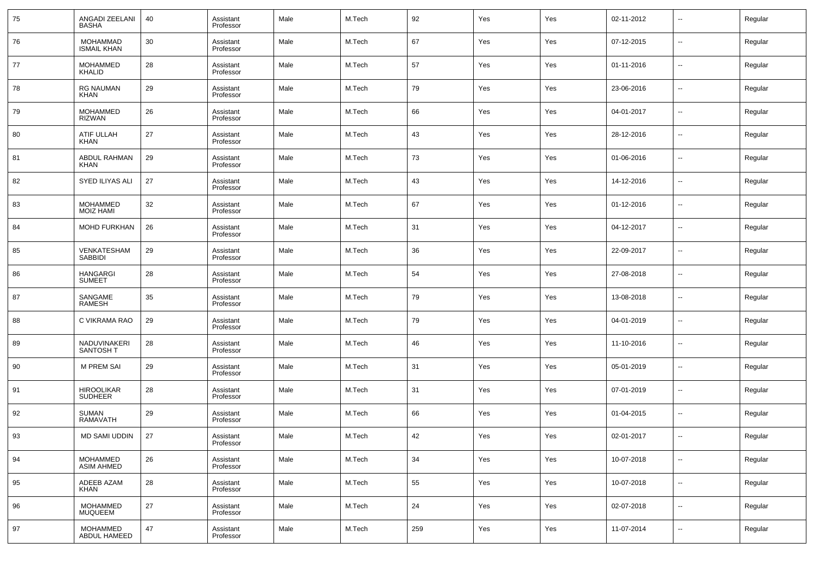| 75 | ANGADI ZEELANI<br><b>BASHA</b>        | 40 | Assistant<br>Professor | Male | M.Tech | 92     | Yes | Yes | 02-11-2012 | --             | Regular |
|----|---------------------------------------|----|------------------------|------|--------|--------|-----|-----|------------|----------------|---------|
| 76 | <b>MOHAMMAD</b><br><b>ISMAIL KHAN</b> | 30 | Assistant<br>Professor | Male | M.Tech | 67     | Yes | Yes | 07-12-2015 | --             | Regular |
| 77 | <b>MOHAMMED</b><br>KHALID             | 28 | Assistant<br>Professor | Male | M.Tech | 57     | Yes | Yes | 01-11-2016 | --             | Regular |
| 78 | <b>RG NAUMAN</b><br><b>KHAN</b>       | 29 | Assistant<br>Professor | Male | M.Tech | 79     | Yes | Yes | 23-06-2016 | --             | Regular |
| 79 | <b>MOHAMMED</b><br><b>RIZWAN</b>      | 26 | Assistant<br>Professor | Male | M.Tech | 66     | Yes | Yes | 04-01-2017 | --             | Regular |
| 80 | ATIF ULLAH<br><b>KHAN</b>             | 27 | Assistant<br>Professor | Male | M.Tech | 43     | Yes | Yes | 28-12-2016 | --             | Regular |
| 81 | ABDUL RAHMAN<br><b>KHAN</b>           | 29 | Assistant<br>Professor | Male | M.Tech | 73     | Yes | Yes | 01-06-2016 | --             | Regular |
| 82 | SYED ILIYAS ALI                       | 27 | Assistant<br>Professor | Male | M.Tech | 43     | Yes | Yes | 14-12-2016 | --             | Regular |
| 83 | <b>MOHAMMED</b><br><b>MOIZ HAMI</b>   | 32 | Assistant<br>Professor | Male | M.Tech | 67     | Yes | Yes | 01-12-2016 | --             | Regular |
| 84 | <b>MOHD FURKHAN</b>                   | 26 | Assistant<br>Professor | Male | M.Tech | 31     | Yes | Yes | 04-12-2017 | --             | Regular |
| 85 | VENKATESHAM<br><b>SABBIDI</b>         | 29 | Assistant<br>Professor | Male | M.Tech | 36     | Yes | Yes | 22-09-2017 | --             | Regular |
| 86 | <b>HANGARGI</b><br><b>SUMEET</b>      | 28 | Assistant<br>Professor | Male | M.Tech | 54     | Yes | Yes | 27-08-2018 | --             | Regular |
| 87 | SANGAME<br><b>RAMESH</b>              | 35 | Assistant<br>Professor | Male | M.Tech | 79     | Yes | Yes | 13-08-2018 | --             | Regular |
| 88 | C VIKRAMA RAO                         | 29 | Assistant<br>Professor | Male | M.Tech | 79     | Yes | Yes | 04-01-2019 | --             | Regular |
| 89 | NADUVINAKERI<br><b>SANTOSH T</b>      | 28 | Assistant<br>Professor | Male | M.Tech | 46     | Yes | Yes | 11-10-2016 | --             | Regular |
| 90 | <b>M PREM SAI</b>                     | 29 | Assistant<br>Professor | Male | M.Tech | 31     | Yes | Yes | 05-01-2019 | --             | Regular |
| 91 | <b>HIROOLIKAR</b><br><b>SUDHEER</b>   | 28 | Assistant<br>Professor | Male | M.Tech | 31     | Yes | Yes | 07-01-2019 | --             | Regular |
| 92 | <b>SUMAN</b><br>RAMAVATH              | 29 | Assistant<br>Professor | Male | M.Tech | 66     | Yes | Yes | 01-04-2015 | --             | Regular |
| 93 | MD SAMI UDDIN                         | 27 | Assistant<br>Professor | Male | M.Tech | 42     | Yes | Yes | 02-01-2017 | $\overline{a}$ | Regular |
| 94 | MOHAMMED<br>ASIM AHMED                | 26 | Assistant<br>Professor | Male | M.Tech | 34     | Yes | Yes | 10-07-2018 | $\sim$         | Regular |
| 95 | ADEEB AZAM<br>KHAN                    | 28 | Assistant<br>Professor | Male | M.Tech | 55     | Yes | Yes | 10-07-2018 | $\sim$         | Regular |
| 96 | <b>MOHAMMED</b><br><b>MUQUEEM</b>     | 27 | Assistant<br>Professor | Male | M.Tech | $24\,$ | Yes | Yes | 02-07-2018 | $\sim$         | Regular |
| 97 | MOHAMMED<br>ABDUL HAMEED              | 47 | Assistant<br>Professor | Male | M.Tech | 259    | Yes | Yes | 11-07-2014 | $\sim$         | Regular |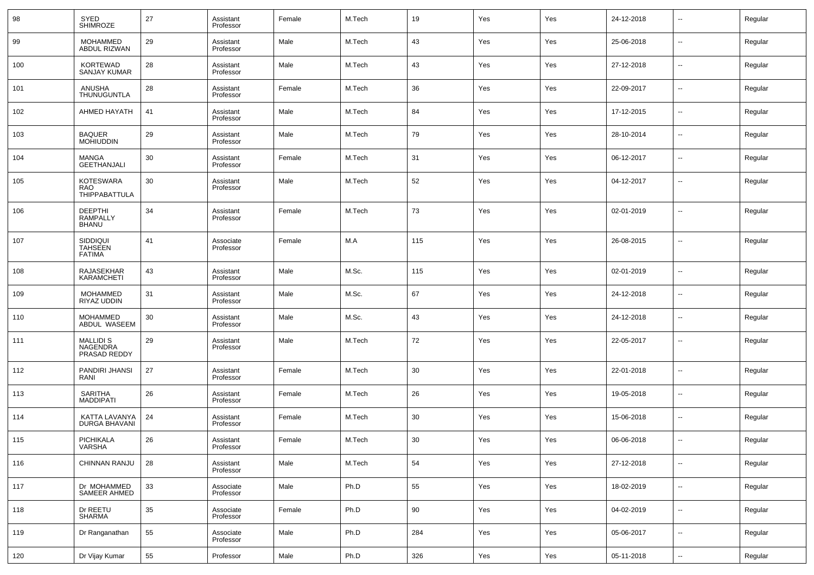| 98  | <b>SYED</b><br>SHIMROZE                      | 27 | Assistant<br>Professor | Female | M.Tech | 19  | Yes | Yes | 24-12-2018 | $\overline{\phantom{a}}$ | Regular |
|-----|----------------------------------------------|----|------------------------|--------|--------|-----|-----|-----|------------|--------------------------|---------|
| 99  | <b>MOHAMMED</b><br>ABDUL RIZWAN              | 29 | Assistant<br>Professor | Male   | M.Tech | 43  | Yes | Yes | 25-06-2018 | $\overline{\phantom{a}}$ | Regular |
| 100 | <b>KORTEWAD</b><br><b>SANJAY KUMAR</b>       | 28 | Assistant<br>Professor | Male   | M.Tech | 43  | Yes | Yes | 27-12-2018 | $\overline{\phantom{a}}$ | Regular |
| 101 | ANUSHA<br>THUNUGUNTLA                        | 28 | Assistant<br>Professor | Female | M.Tech | 36  | Yes | Yes | 22-09-2017 | $\overline{\phantom{a}}$ | Regular |
| 102 | AHMED HAYATH                                 | 41 | Assistant<br>Professor | Male   | M.Tech | 84  | Yes | Yes | 17-12-2015 | $\overline{\phantom{a}}$ | Regular |
| 103 | <b>BAQUER</b><br><b>MOHIUDDIN</b>            | 29 | Assistant<br>Professor | Male   | M.Tech | 79  | Yes | Yes | 28-10-2014 | $\overline{\phantom{a}}$ | Regular |
| 104 | <b>MANGA</b><br><b>GEETHANJALI</b>           | 30 | Assistant<br>Professor | Female | M.Tech | 31  | Yes | Yes | 06-12-2017 | $\overline{\phantom{a}}$ | Regular |
| 105 | <b>KOTESWARA</b><br>RAO<br>THIPPABATTULA     | 30 | Assistant<br>Professor | Male   | M.Tech | 52  | Yes | Yes | 04-12-2017 | --                       | Regular |
| 106 | <b>DEEPTHI</b><br><b>RAMPALLY</b><br>BHANU   | 34 | Assistant<br>Professor | Female | M.Tech | 73  | Yes | Yes | 02-01-2019 | $\overline{a}$           | Regular |
| 107 | SIDDIQUI<br><b>TAHSEEN</b><br><b>FATIMA</b>  | 41 | Associate<br>Professor | Female | M.A    | 115 | Yes | Yes | 26-08-2015 |                          | Regular |
| 108 | RAJASEKHAR<br>KARAMCHETI                     | 43 | Assistant<br>Professor | Male   | M.Sc.  | 115 | Yes | Yes | 02-01-2019 | --                       | Regular |
| 109 | <b>MOHAMMED</b><br>RIYAZ UDDIN               | 31 | Assistant<br>Professor | Male   | M.Sc.  | 67  | Yes | Yes | 24-12-2018 | ۰.                       | Regular |
| 110 | <b>MOHAMMED</b><br>ABDUL WASEEM              | 30 | Assistant<br>Professor | Male   | M.Sc.  | 43  | Yes | Yes | 24-12-2018 | $\overline{\phantom{a}}$ | Regular |
| 111 | <b>MALLIDI S</b><br>NAGENDRA<br>PRASAD REDDY | 29 | Assistant<br>Professor | Male   | M.Tech | 72  | Yes | Yes | 22-05-2017 | --                       | Regular |
| 112 | PANDIRI JHANSI<br>RANI                       | 27 | Assistant<br>Professor | Female | M.Tech | 30  | Yes | Yes | 22-01-2018 | --                       | Regular |
| 113 | SARITHA<br><b>MADDIPATI</b>                  | 26 | Assistant<br>Professor | Female | M.Tech | 26  | Yes | Yes | 19-05-2018 | --                       | Regular |
| 114 | KATTA LAVANYA<br>DURGA BHAVANI               | 24 | Assistant<br>Professor | Female | M.Tech | 30  | Yes | Yes | 15-06-2018 | --                       | Regular |
| 115 | PICHIKALA<br>VARSHA                          | 26 | Assistant<br>Professor | Female | M.Tech | 30  | Yes | Yes | 06-06-2018 | $\overline{a}$           | Regular |
| 116 | CHINNAN RANJU                                | 28 | Assistant<br>Professor | Male   | M.Tech | 54  | Yes | Yes | 27-12-2018 | Щ,                       | Regular |
| 117 | Dr MOHAMMED<br>SAMEER AHMED                  | 33 | Associate<br>Professor | Male   | Ph.D   | 55  | Yes | Yes | 18-02-2019 | Щ,                       | Regular |
| 118 | Dr REETU<br>SHARMA                           | 35 | Associate<br>Professor | Female | Ph.D   | 90  | Yes | Yes | 04-02-2019 | Щ,                       | Regular |
| 119 | Dr Ranganathan                               | 55 | Associate<br>Professor | Male   | Ph.D   | 284 | Yes | Yes | 05-06-2017 | Щ,                       | Regular |
| 120 | Dr Vijay Kumar                               | 55 | Professor              | Male   | Ph.D   | 326 | Yes | Yes | 05-11-2018 | Щ,                       | Regular |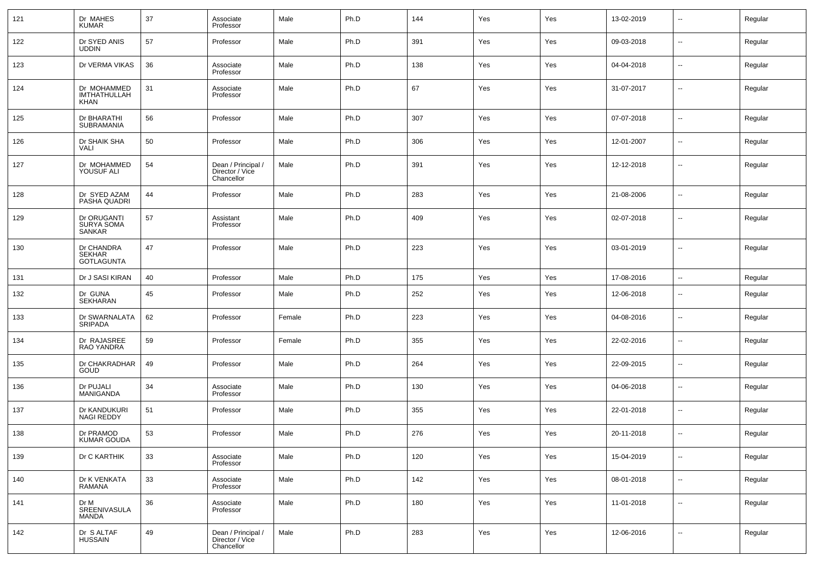| 121 | Dr MAHES<br><b>KUMAR</b>                   | 37 | Associate<br>Professor                              | Male   | Ph.D | 144 | Yes | Yes | 13-02-2019 | ⊶.                       | Regular |
|-----|--------------------------------------------|----|-----------------------------------------------------|--------|------|-----|-----|-----|------------|--------------------------|---------|
| 122 | Dr SYED ANIS<br><b>UDDIN</b>               | 57 | Professor                                           | Male   | Ph.D | 391 | Yes | Yes | 09-03-2018 | ⊷                        | Regular |
| 123 | Dr VERMA VIKAS                             | 36 | Associate<br>Professor                              | Male   | Ph.D | 138 | Yes | Yes | 04-04-2018 | ⊶.                       | Regular |
| 124 | Dr MOHAMMED<br>IMTHATHULLAH<br><b>KHAN</b> | 31 | Associate<br>Professor                              | Male   | Ph.D | 67  | Yes | Yes | 31-07-2017 | ⊷                        | Regular |
| 125 | Dr BHARATHI<br>SUBRAMANIA                  | 56 | Professor                                           | Male   | Ph.D | 307 | Yes | Yes | 07-07-2018 | ⊷                        | Regular |
| 126 | Dr SHAIK SHA<br>VALI                       | 50 | Professor                                           | Male   | Ph.D | 306 | Yes | Yes | 12-01-2007 | $\overline{\phantom{a}}$ | Regular |
| 127 | Dr MOHAMMED<br>YOUSUF ALI                  | 54 | Dean / Principal /<br>Director / Vice<br>Chancellor | Male   | Ph.D | 391 | Yes | Yes | 12-12-2018 | ⊷                        | Regular |
| 128 | Dr SYED AZAM<br>PASHA QUADRI               | 44 | Professor                                           | Male   | Ph.D | 283 | Yes | Yes | 21-08-2006 | --                       | Regular |
| 129 | Dr ORUGANTI<br>SURYA SOMA<br>SANKAR        | 57 | Assistant<br>Professor                              | Male   | Ph.D | 409 | Yes | Yes | 02-07-2018 |                          | Regular |
| 130 | Dr CHANDRA<br>SEKHAR<br><b>GOTLAGUNTA</b>  | 47 | Professor                                           | Male   | Ph.D | 223 | Yes | Yes | 03-01-2019 | $\overline{\phantom{a}}$ | Regular |
| 131 | Dr J SASI KIRAN                            | 40 | Professor                                           | Male   | Ph.D | 175 | Yes | Yes | 17-08-2016 | $\ddotsc$                | Regular |
| 132 | Dr GUNA<br>SEKHARAN                        | 45 | Professor                                           | Male   | Ph.D | 252 | Yes | Yes | 12-06-2018 | $\overline{\phantom{a}}$ | Regular |
| 133 | Dr SWARNALATA<br>SRIPADA                   | 62 | Professor                                           | Female | Ph.D | 223 | Yes | Yes | 04-08-2016 | ⊷                        | Regular |
| 134 | Dr RAJASREE<br>RAO YANDRA                  | 59 | Professor                                           | Female | Ph.D | 355 | Yes | Yes | 22-02-2016 | $\overline{\phantom{a}}$ | Regular |
| 135 | Dr CHAKRADHAR<br>GOUD                      | 49 | Professor                                           | Male   | Ph.D | 264 | Yes | Yes | 22-09-2015 | $\overline{\phantom{a}}$ | Regular |
| 136 | Dr PUJALI<br>MANIGANDA                     | 34 | Associate<br>Professor                              | Male   | Ph.D | 130 | Yes | Yes | 04-06-2018 | $\overline{\phantom{a}}$ | Regular |
| 137 | Dr KANDUKURI<br><b>NAGI REDDY</b>          | 51 | Professor                                           | Male   | Ph.D | 355 | Yes | Yes | 22-01-2018 | $\overline{\phantom{a}}$ | Regular |
| 138 | Dr PRAMOD<br>KUMAR GOUDA                   | 53 | Professor                                           | Male   | Ph.D | 276 | Yes | Yes | 20-11-2018 | --                       | Regular |
| 139 | Dr C KARTHIK                               | 33 | Associate<br>Professor                              | Male   | Ph.D | 120 | Yes | Yes | 15-04-2019 | $\overline{\phantom{a}}$ | Regular |
| 140 | Dr K VENKATA<br>RAMANA                     | 33 | Associate<br>Professor                              | Male   | Ph.D | 142 | Yes | Yes | 08-01-2018 | $\sim$                   | Regular |
| 141 | Dr M<br>SREENIVASULA<br><b>MANDA</b>       | 36 | Associate<br>Professor                              | Male   | Ph.D | 180 | Yes | Yes | 11-01-2018 | ⊷                        | Regular |
| 142 | Dr S ALTAF<br><b>HUSSAIN</b>               | 49 | Dean / Principal /<br>Director / Vice<br>Chancellor | Male   | Ph.D | 283 | Yes | Yes | 12-06-2016 | $\overline{\phantom{a}}$ | Regular |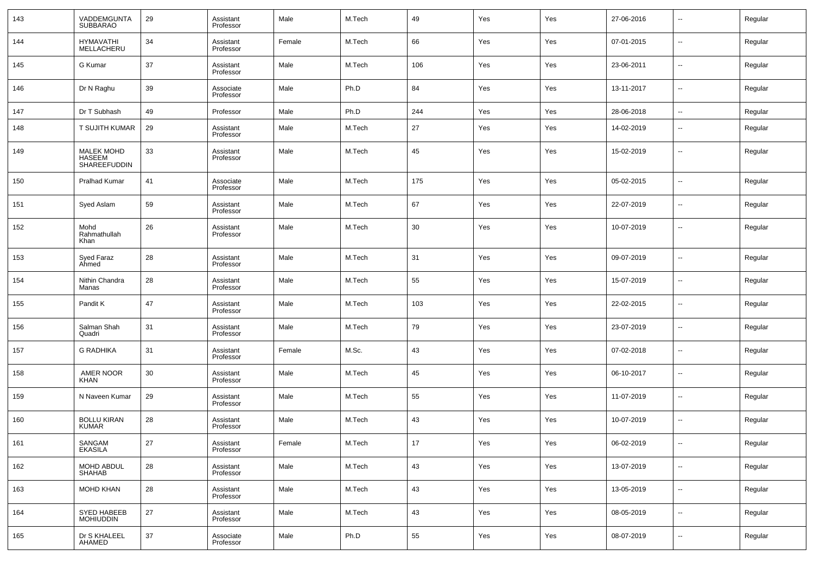| 143 | VADDEMGUNTA<br><b>SUBBARAO</b>                     | 29     | Assistant<br>Professor | Male   | M.Tech | 49  | Yes | Yes | 27-06-2016 | $\sim$                   | Regular |
|-----|----------------------------------------------------|--------|------------------------|--------|--------|-----|-----|-----|------------|--------------------------|---------|
| 144 | <b>HYMAVATHI</b><br>MELLACHERU                     | 34     | Assistant<br>Professor | Female | M.Tech | 66  | Yes | Yes | 07-01-2015 | $\overline{\phantom{a}}$ | Regular |
| 145 | G Kumar                                            | 37     | Assistant<br>Professor | Male   | M.Tech | 106 | Yes | Yes | 23-06-2011 | $\overline{\phantom{a}}$ | Regular |
| 146 | Dr N Raghu                                         | 39     | Associate<br>Professor | Male   | Ph.D   | 84  | Yes | Yes | 13-11-2017 | $\sim$                   | Regular |
| 147 | Dr T Subhash                                       | 49     | Professor              | Male   | Ph.D   | 244 | Yes | Yes | 28-06-2018 | $\overline{\phantom{a}}$ | Regular |
| 148 | T SUJITH KUMAR                                     | 29     | Assistant<br>Professor | Male   | M.Tech | 27  | Yes | Yes | 14-02-2019 | --                       | Regular |
| 149 | <b>MALEK MOHD</b><br><b>HASEEM</b><br>SHAREEFUDDIN | 33     | Assistant<br>Professor | Male   | M.Tech | 45  | Yes | Yes | 15-02-2019 | ш,                       | Regular |
| 150 | Pralhad Kumar                                      | 41     | Associate<br>Professor | Male   | M.Tech | 175 | Yes | Yes | 05-02-2015 | --                       | Regular |
| 151 | Syed Aslam                                         | 59     | Assistant<br>Professor | Male   | M.Tech | 67  | Yes | Yes | 22-07-2019 | $\overline{\phantom{a}}$ | Regular |
| 152 | Mohd<br>Rahmathullah<br>Khan                       | 26     | Assistant<br>Professor | Male   | M.Tech | 30  | Yes | Yes | 10-07-2019 | --                       | Regular |
| 153 | Syed Faraz<br>Ahmed                                | 28     | Assistant<br>Professor | Male   | M.Tech | 31  | Yes | Yes | 09-07-2019 | --                       | Regular |
| 154 | Nithin Chandra<br>Manas                            | 28     | Assistant<br>Professor | Male   | M.Tech | 55  | Yes | Yes | 15-07-2019 | $\overline{\phantom{a}}$ | Regular |
| 155 | Pandit K                                           | 47     | Assistant<br>Professor | Male   | M.Tech | 103 | Yes | Yes | 22-02-2015 | $\overline{\phantom{a}}$ | Regular |
| 156 | Salman Shah<br>Quadri                              | 31     | Assistant<br>Professor | Male   | M.Tech | 79  | Yes | Yes | 23-07-2019 | $\overline{a}$           | Regular |
| 157 | <b>G RADHIKA</b>                                   | 31     | Assistant<br>Professor | Female | M.Sc.  | 43  | Yes | Yes | 07-02-2018 | $\overline{\phantom{a}}$ | Regular |
| 158 | AMER NOOR<br><b>KHAN</b>                           | 30     | Assistant<br>Professor | Male   | M.Tech | 45  | Yes | Yes | 06-10-2017 | $\overline{a}$           | Regular |
| 159 | N Naveen Kumar                                     | 29     | Assistant<br>Professor | Male   | M.Tech | 55  | Yes | Yes | 11-07-2019 | $\overline{\phantom{a}}$ | Regular |
| 160 | <b>BOLLU KIRAN</b><br><b>KUMAR</b>                 | 28     | Assistant<br>Professor | Male   | M.Tech | 43  | Yes | Yes | 10-07-2019 | $\overline{\phantom{a}}$ | Regular |
| 161 | SANGAM<br>EKASILA                                  | $27\,$ | Assistant<br>Professor | Female | M.Tech | 17  | Yes | Yes | 06-02-2019 |                          | Regular |
| 162 | MOHD ABDUL<br>SHAHAB                               | 28     | Assistant<br>Professor | Male   | M.Tech | 43  | Yes | Yes | 13-07-2019 | u,                       | Regular |
| 163 | MOHD KHAN                                          | 28     | Assistant<br>Professor | Male   | M.Tech | 43  | Yes | Yes | 13-05-2019 | u,                       | Regular |
| 164 | SYED HABEEB<br>MOHIUDDIN                           | $27\,$ | Assistant<br>Professor | Male   | M.Tech | 43  | Yes | Yes | 08-05-2019 | u,                       | Regular |
| 165 | Dr S KHALEEL<br>AHAMED                             | 37     | Associate<br>Professor | Male   | Ph.D   | 55  | Yes | Yes | 08-07-2019 | $\overline{\phantom{a}}$ | Regular |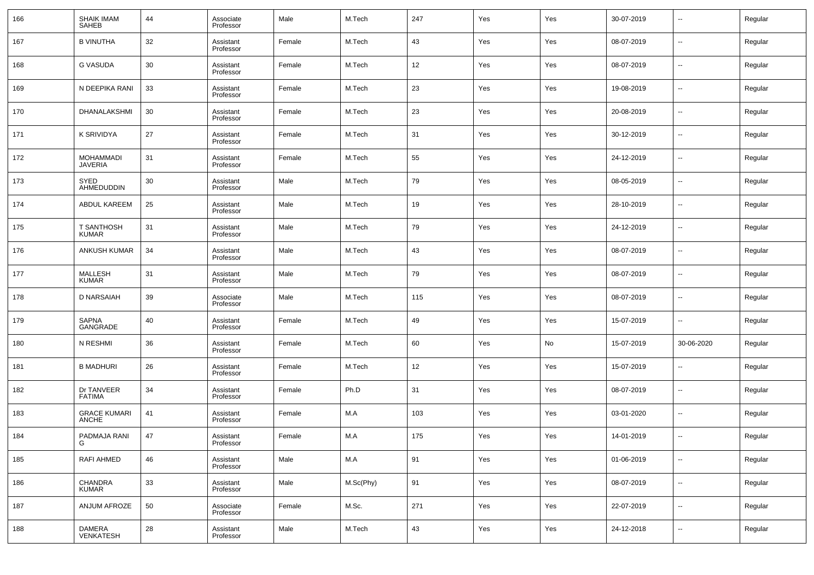| 166 | SHAIK IMAM<br><b>SAHEB</b>        | 44 | Associate<br>Professor | Male   | M.Tech    | 247 | Yes | Yes | 30-07-2019 | $\overline{\phantom{a}}$ | Regular |
|-----|-----------------------------------|----|------------------------|--------|-----------|-----|-----|-----|------------|--------------------------|---------|
| 167 | <b>B VINUTHA</b>                  | 32 | Assistant<br>Professor | Female | M.Tech    | 43  | Yes | Yes | 08-07-2019 | $\overline{\phantom{a}}$ | Regular |
| 168 | G VASUDA                          | 30 | Assistant<br>Professor | Female | M.Tech    | 12  | Yes | Yes | 08-07-2019 | $\overline{\phantom{a}}$ | Regular |
| 169 | N DEEPIKA RANI                    | 33 | Assistant<br>Professor | Female | M.Tech    | 23  | Yes | Yes | 19-08-2019 | $\overline{\phantom{a}}$ | Regular |
| 170 | DHANALAKSHMI                      | 30 | Assistant<br>Professor | Female | M.Tech    | 23  | Yes | Yes | 20-08-2019 | $\overline{\phantom{a}}$ | Regular |
| 171 | K SRIVIDYA                        | 27 | Assistant<br>Professor | Female | M.Tech    | 31  | Yes | Yes | 30-12-2019 | $\overline{\phantom{a}}$ | Regular |
| 172 | <b>MOHAMMADI</b><br>JAVERIA       | 31 | Assistant<br>Professor | Female | M.Tech    | 55  | Yes | Yes | 24-12-2019 | $\overline{\phantom{a}}$ | Regular |
| 173 | SYED<br>AHMEDUDDIN                | 30 | Assistant<br>Professor | Male   | M.Tech    | 79  | Yes | Yes | 08-05-2019 | $\overline{\phantom{a}}$ | Regular |
| 174 | <b>ABDUL KAREEM</b>               | 25 | Assistant<br>Professor | Male   | M.Tech    | 19  | Yes | Yes | 28-10-2019 | $\overline{\phantom{a}}$ | Regular |
| 175 | <b>T SANTHOSH</b><br><b>KUMAR</b> | 31 | Assistant<br>Professor | Male   | M.Tech    | 79  | Yes | Yes | 24-12-2019 | $\overline{\phantom{a}}$ | Regular |
| 176 | <b>ANKUSH KUMAR</b>               | 34 | Assistant<br>Professor | Male   | M.Tech    | 43  | Yes | Yes | 08-07-2019 | $\overline{\phantom{a}}$ | Regular |
| 177 | MALLESH<br><b>KUMAR</b>           | 31 | Assistant<br>Professor | Male   | M.Tech    | 79  | Yes | Yes | 08-07-2019 | $\overline{\phantom{a}}$ | Regular |
| 178 | D NARSAIAH                        | 39 | Associate<br>Professor | Male   | M.Tech    | 115 | Yes | Yes | 08-07-2019 | $\overline{\phantom{a}}$ | Regular |
| 179 | SAPNA<br>GANGRADE                 | 40 | Assistant<br>Professor | Female | M.Tech    | 49  | Yes | Yes | 15-07-2019 | $\overline{\phantom{a}}$ | Regular |
| 180 | N RESHMI                          | 36 | Assistant<br>Professor | Female | M.Tech    | 60  | Yes | No  | 15-07-2019 | 30-06-2020               | Regular |
| 181 | <b>B MADHURI</b>                  | 26 | Assistant<br>Professor | Female | M.Tech    | 12  | Yes | Yes | 15-07-2019 | $\overline{\phantom{a}}$ | Regular |
| 182 | Dr TANVEER<br><b>FATIMA</b>       | 34 | Assistant<br>Professor | Female | Ph.D      | 31  | Yes | Yes | 08-07-2019 | $\overline{\phantom{a}}$ | Regular |
| 183 | <b>GRACE KUMARI</b><br>ANCHE      | 41 | Assistant<br>Professor | Female | M.A       | 103 | Yes | Yes | 03-01-2020 | $\overline{\phantom{a}}$ | Regular |
| 184 | PADMAJA RANI                      | 47 | Assistant<br>Professor | Female | M.A       | 175 | Yes | Yes | 14-01-2019 | $\overline{\phantom{a}}$ | Regular |
| 185 | RAFI AHMED                        | 46 | Assistant<br>Professor | Male   | M.A       | 91  | Yes | Yes | 01-06-2019 | ۰.                       | Regular |
| 186 | CHANDRA<br><b>KUMAR</b>           | 33 | Assistant<br>Professor | Male   | M.Sc(Phy) | 91  | Yes | Yes | 08-07-2019 | $\overline{\phantom{a}}$ | Regular |
| 187 | ANJUM AFROZE                      | 50 | Associate<br>Professor | Female | M.Sc.     | 271 | Yes | Yes | 22-07-2019 | $\overline{\phantom{a}}$ | Regular |
| 188 | DAMERA<br><b>VENKATESH</b>        | 28 | Assistant<br>Professor | Male   | M.Tech    | 43  | Yes | Yes | 24-12-2018 | ۰.                       | Regular |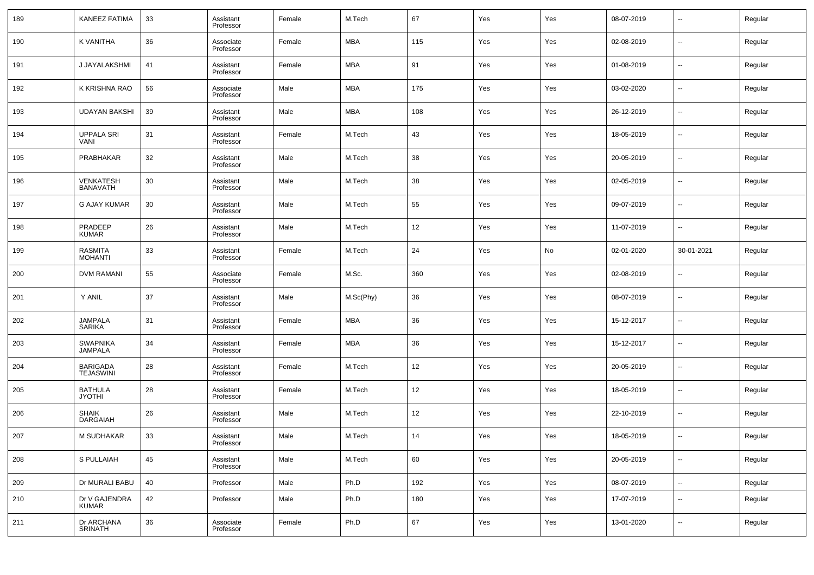| 189 | KANEEZ FATIMA                       | 33 | Assistant<br>Professor | Female | M.Tech     | 67  | Yes | Yes | 08-07-2019 | --                       | Regular |
|-----|-------------------------------------|----|------------------------|--------|------------|-----|-----|-----|------------|--------------------------|---------|
| 190 | K VANITHA                           | 36 | Associate<br>Professor | Female | MBA        | 115 | Yes | Yes | 02-08-2019 | −−                       | Regular |
| 191 | J JAYALAKSHMI                       | 41 | Assistant<br>Professor | Female | <b>MBA</b> | 91  | Yes | Yes | 01-08-2019 | н.                       | Regular |
| 192 | K KRISHNA RAO                       | 56 | Associate<br>Professor | Male   | <b>MBA</b> | 175 | Yes | Yes | 03-02-2020 | н.                       | Regular |
| 193 | <b>UDAYAN BAKSHI</b>                | 39 | Assistant<br>Professor | Male   | <b>MBA</b> | 108 | Yes | Yes | 26-12-2019 | н.                       | Regular |
| 194 | <b>UPPALA SRI</b><br>VANI           | 31 | Assistant<br>Professor | Female | M.Tech     | 43  | Yes | Yes | 18-05-2019 | н.                       | Regular |
| 195 | PRABHAKAR                           | 32 | Assistant<br>Professor | Male   | M.Tech     | 38  | Yes | Yes | 20-05-2019 | н.                       | Regular |
| 196 | VENKATESH<br><b>BANAVATH</b>        | 30 | Assistant<br>Professor | Male   | M.Tech     | 38  | Yes | Yes | 02-05-2019 | −−                       | Regular |
| 197 | <b>G AJAY KUMAR</b>                 | 30 | Assistant<br>Professor | Male   | M.Tech     | 55  | Yes | Yes | 09-07-2019 | н.                       | Regular |
| 198 | PRADEEP<br><b>KUMAR</b>             | 26 | Assistant<br>Professor | Male   | M.Tech     | 12  | Yes | Yes | 11-07-2019 | $\overline{\phantom{a}}$ | Regular |
| 199 | RASMITA<br><b>MOHANTI</b>           | 33 | Assistant<br>Professor | Female | M.Tech     | 24  | Yes | No  | 02-01-2020 | 30-01-2021               | Regular |
| 200 | <b>DVM RAMANI</b>                   | 55 | Associate<br>Professor | Female | M.Sc.      | 360 | Yes | Yes | 02-08-2019 | --                       | Regular |
| 201 | Y ANIL                              | 37 | Assistant<br>Professor | Male   | M.Sc(Phy)  | 36  | Yes | Yes | 08-07-2019 | −−                       | Regular |
| 202 | <b>JAMPALA</b><br><b>SARIKA</b>     | 31 | Assistant<br>Professor | Female | <b>MBA</b> | 36  | Yes | Yes | 15-12-2017 | −−                       | Regular |
| 203 | <b>SWAPNIKA</b><br><b>JAMPALA</b>   | 34 | Assistant<br>Professor | Female | MBA        | 36  | Yes | Yes | 15-12-2017 | $\overline{\phantom{a}}$ | Regular |
| 204 | <b>BARIGADA</b><br><b>TEJASWINI</b> | 28 | Assistant<br>Professor | Female | M.Tech     | 12  | Yes | Yes | 20-05-2019 | $\overline{\phantom{a}}$ | Regular |
| 205 | <b>BATHULA</b><br><b>JYOTHI</b>     | 28 | Assistant<br>Professor | Female | M.Tech     | 12  | Yes | Yes | 18-05-2019 | $\overline{\phantom{a}}$ | Regular |
| 206 | <b>SHAIK</b><br><b>DARGAIAH</b>     | 26 | Assistant<br>Professor | Male   | M.Tech     | 12  | Yes | Yes | 22-10-2019 | $\overline{\phantom{a}}$ | Regular |
| 207 | M SUDHAKAR                          | 33 | Assistant<br>Professor | Male   | M.Tech     | 14  | Yes | Yes | 18-05-2019 | $\overline{a}$           | Regular |
| 208 | S PULLAIAH                          | 45 | Assistant<br>Professor | Male   | M.Tech     | 60  | Yes | Yes | 20-05-2019 | $\sim$                   | Regular |
| 209 | Dr MURALI BABU                      | 40 | Professor              | Male   | Ph.D       | 192 | Yes | Yes | 08-07-2019 | $\sim$                   | Regular |
| 210 | Dr V GAJENDRA<br><b>KUMAR</b>       | 42 | Professor              | Male   | Ph.D       | 180 | Yes | Yes | 17-07-2019 | $\sim$                   | Regular |
| 211 | Dr ARCHANA<br>SRINATH               | 36 | Associate<br>Professor | Female | Ph.D       | 67  | Yes | Yes | 13-01-2020 | $\sim$                   | Regular |